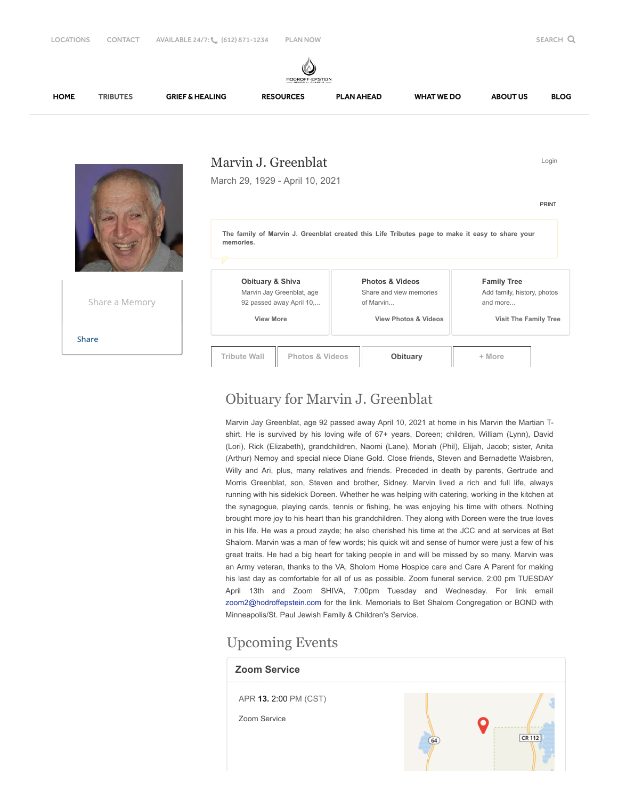

## Obituary for Marvin J. Greenblat

Marvin Jay Greenblat, age 92 passed away April 10, 2021 at home in his Marvin the Martian Tshirt. He is survived by his loving wife of 67+ years, Doreen; children, William (Lynn), David (Lori), Rick (Elizabeth), grandchildren, Naomi (Lane), Moriah (Phil), Elijah, Jacob; sister, Anita (Arthur) Nemoy and special niece Diane Gold. Close friends, Steven and Bernadette Waisbren, Willy and Ari, plus, many relatives and friends. Preceded in death by parents, Gertrude and Morris Greenblat, son, Steven and brother, Sidney. Marvin lived a rich and full life, always running with his sidekick Doreen. Whether he was helping with catering, working in the kitchen at the synagogue, playing cards, tennis or fishing, he was enjoying his time with others. Nothing brought more joy to his heart than his grandchildren. They along with Doreen were the true loves in his life. He was a proud zayde; he also cherished his time at the JCC and at services at Bet Shalom. Marvin was a man of few words; his quick wit and sense of humor were just a few of his great traits. He had a big heart for taking people in and will be missed by so many. Marvin was an Army veteran, thanks to the VA, Sholom Home Hospice care and Care A Parent for making his last day as comfortable for all of us as possible. Zoom funeral service, 2:00 pm TUESDAY April 13th and Zoom SHIVA, 7:00pm Tuesday and Wednesday. For link email [zoom2@hodroffepstein.com](mailto:zoom2@hodroffepstein.com) for the link. Memorials to Bet Shalom Congregation or BOND with Minneapolis/St. Paul Jewish Family & Children's Service.

## Upcoming Events

## **Zoom Service** APR **13.** 2:00 PM (CST) Zoom Service  $\bullet$  $CR 112$  $\overline{64}$